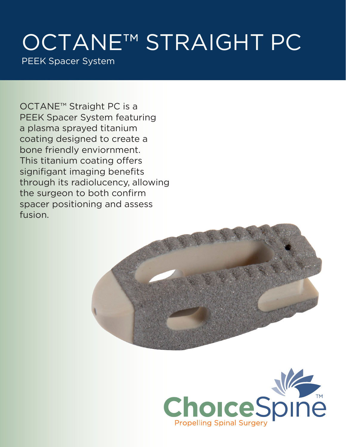## OCTANE™ STRAIGHT PC

PEEK Spacer System

OCTANE™ Straight PC is a PEEK Spacer System featuring a plasma sprayed titanium coating designed to create a bone friendly enviornment. This titanium coating offers signifigant imaging benefits through its radiolucency, allowing the surgeon to both confirm spacer positioning and assess fusion.